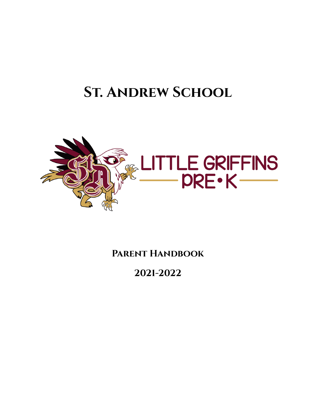# **St. Andrew School**



**Parent Handbook**

**2021-2022**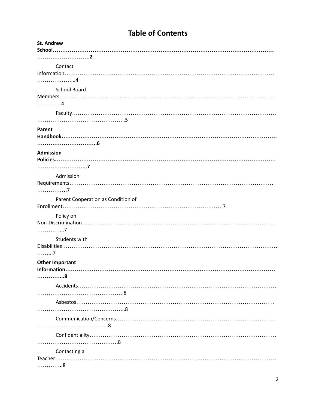# **Table of Contents**

| <b>St. Andrew</b>                  |
|------------------------------------|
|                                    |
|                                    |
| Contact                            |
|                                    |
|                                    |
| <b>School Board</b>                |
| . 4                                |
|                                    |
|                                    |
| Parent                             |
|                                    |
|                                    |
| <b>Admission</b>                   |
|                                    |
|                                    |
| Admission                          |
|                                    |
| . 7                                |
| Parent Cooperation as Condition of |
|                                    |
| Policy on                          |
|                                    |
| . 7                                |
| Students with                      |
|                                    |
| . 7                                |
| <b>Other Important</b>             |
| Information                        |
| . 8                                |
|                                    |
|                                    |
|                                    |
|                                    |
|                                    |
|                                    |
|                                    |
|                                    |
| Contacting a                       |
|                                    |
| . 8                                |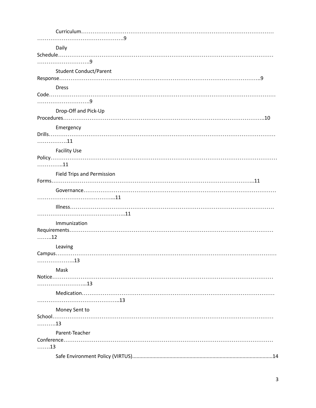|      | Daily                             |
|------|-----------------------------------|
|      |                                   |
|      |                                   |
|      | <b>Student Conduct/Parent</b>     |
|      |                                   |
|      | <b>Dress</b>                      |
|      | $Code.\dots$                      |
|      |                                   |
|      | Drop-Off and Pick-Up              |
|      |                                   |
|      | Emergency                         |
|      |                                   |
|      | 11                                |
|      | <b>Facility Use</b>               |
|      |                                   |
| . 11 |                                   |
|      | <b>Field Trips and Permission</b> |
|      |                                   |
|      |                                   |
|      |                                   |
|      |                                   |
|      |                                   |
|      | Immunization                      |
|      |                                   |
| 12   |                                   |
|      | Leaving                           |
|      |                                   |
|      |                                   |
|      | Mask                              |
|      |                                   |
|      |                                   |
|      |                                   |
|      |                                   |
|      | Money Sent to                     |
| . 13 |                                   |
|      |                                   |
|      | Parent-Teacher                    |
| . 13 |                                   |
|      |                                   |
|      |                                   |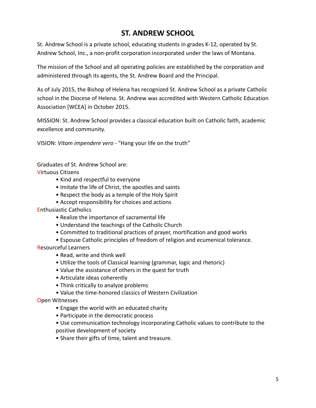# **ST. ANDREW SCHOOL**

St. Andrew School is a private school, educating students in grades K-12, operated by St. Andrew School, Inc., a non-profit corporation incorporated under the laws of Montana.

The mission of the School and all operating policies are established by the corporation and administered through its agents, the St. Andrew Board and the Principal.

As of July 2015, the Bishop of Helena has recognized St. Andrew School as a private Catholic school in the Diocese of Helena. St. Andrew was accredited with Western Catholic Education Association [WCEA] in October 2015.

MISSION: St. Andrew School provides a classical education built on Catholic faith, academic excellence and community.

VISION: *Vitam impendere vero* - "Hang your life on the truth"

Graduates of St. Andrew School are:

Virtuous Citizens

- Kind and respectful to everyone
- Imitate the life of Christ, the apostles and saints
- Respect the body as a temple of the Holy Spirit
- Accept responsibility for choices and actions
- Enthusiastic Catholics
	- Realize the importance of sacramental life
	- Understand the teachings of the Catholic Church
	- Committed to traditional practices of prayer, mortification and good works
	- Espouse Catholic principles of freedom of religion and ecumenical tolerance.

Resourceful Learners

- Read, write and think well
- Utilize the tools of Classical learning (grammar, logic and rhetoric)
- Value the assistance of others in the quest for truth
- Articulate ideas coherently
- Think critically to analyze problems
- Value the time-honored classics of Western Civilization

Open Witnesses

- Engage the world with an educated charity
- Participate in the democratic process
- Use communication technology incorporating Catholic values to contribute to the positive development of society
- Share their gifts of time, talent and treasure.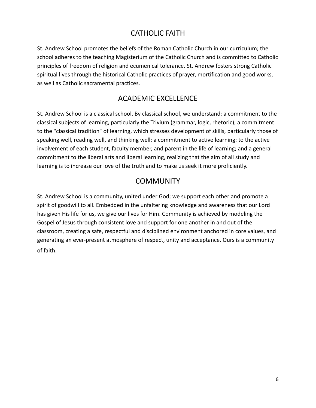# CATHOLIC FAITH

St. Andrew School promotes the beliefs of the Roman Catholic Church in our curriculum; the school adheres to the teaching Magisterium of the Catholic Church and is committed to Catholic principles of freedom of religion and ecumenical tolerance. St. Andrew fosters strong Catholic spiritual lives through the historical Catholic practices of prayer, mortification and good works, as well as Catholic sacramental practices.

## ACADEMIC EXCELLENCE

St. Andrew School is a classical school. By classical school, we understand: a commitment to the classical subjects of learning, particularly the Trivium (grammar, logic, rhetoric); a commitment to the "classical tradition" of learning, which stresses development of skills, particularly those of speaking well, reading well, and thinking well; a commitment to active learning: to the active involvement of each student, faculty member, and parent in the life of learning; and a general commitment to the liberal arts and liberal learning, realizing that the aim of all study and learning is to increase our love of the truth and to make us seek it more proficiently.

## **COMMUNITY**

St. Andrew School is a community, united under God; we support each other and promote a spirit of goodwill to all. Embedded in the unfaltering knowledge and awareness that our Lord has given His life for us, we give our lives for Him. Community is achieved by modeling the Gospel of Jesus through consistent love and support for one another in and out of the classroom, creating a safe, respectful and disciplined environment anchored in core values, and generating an ever-present atmosphere of respect, unity and acceptance. Ours is a community of faith.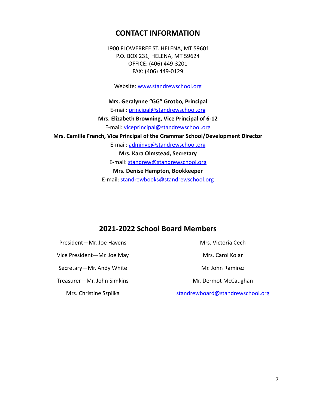#### **CONTACT INFORMATION**

1900 FLOWERREE ST. HELENA, MT 59601 P.O. BOX 231, HELENA, MT 59624 OFFICE: (406) 449-3201 FAX: (406) 449-0129

Website: [www.standrewschool.org](http://www.standrewschool.org)

**Mrs. Geralynne "GG" Grotbo, Principal** E-mail: [principal@standrewschool.org](mailto:principal@standrewschool.org) **Mrs. Elizabeth Browning, Vice Principal of 6-12** E-mail: [viceprincipal@standrewschool.org](mailto:viceprincipal@standrewschool.org) **Mrs. Camille French, Vice Principal of the Grammar School/Development Director** E-mail: [adminvp@standrewschool.org](mailto:adminvp@standrewschool.org) **Mrs. Kara Olmstead, Secretary** E-mail: [standrew@standrewschool.org](mailto:standrew@standrewschool.org) **Mrs. Denise Hampton, Bookkeeper**

E-mail: [standrewbooks@standrewschool.org](mailto:standrewbooks@standrewschool.org)

#### **2021-2022 School Board Members**

President—Mr. Joe Havens Vice President—Mr. Joe May Secretary—Mr. Andy White

Treasurer—Mr. John Simkins

Mrs. Christine Szpilka

Mrs. Victoria Cech

Mrs. Carol Kolar

Mr. John Ramirez

Mr. Dermot McCaughan

[standrewboard@standrewschool.org](mailto:standrewboard@standrewschool.org)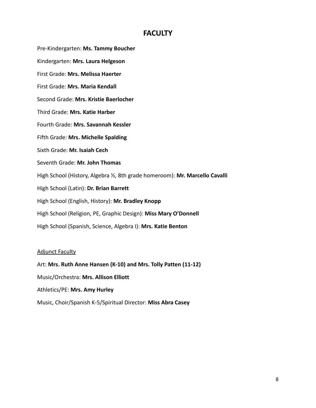### **FACULTY**

Pre-Kindergarten: **Ms. Tammy Boucher** Kindergarten: **Mrs. Laura Helgeson** First Grade: **Mrs. Melissa Haerter** First Grade: **Mrs. Maria Kendall** Second Grade: **Mrs. Kristie Baerlocher** Third Grade: **Mrs. Katie Harber** Fourth Grade: **Mrs. Savannah Kessler** Fifth Grade: **Mrs. Michelle Spalding** Sixth Grade: **Mr. Isaiah Cech** Seventh Grade: **Mr. John Thomas** High School (History, Algebra ½, 8th grade homeroom): **Mr. Marcello Cavalli** High School (Latin): **Dr. Brian Barrett** High School (English, History): **Mr. Bradley Knopp** High School (Religion, PE, Graphic Design): **Miss Mary O'Donnell** High School (Spanish, Science, Algebra I): **Mrs. Katie Benton**

#### Adjunct Faculty

Art: **Mrs. Ruth Anne Hansen (K-10) and Mrs. Tolly Patten (11-12)**

Music/Orchestra: **Mrs. Allison Elliott**

Athletics/PE: **Mrs. Amy Hurley**

Music, Choir/Spanish K-5/Spiritual Director: **Miss Abra Casey**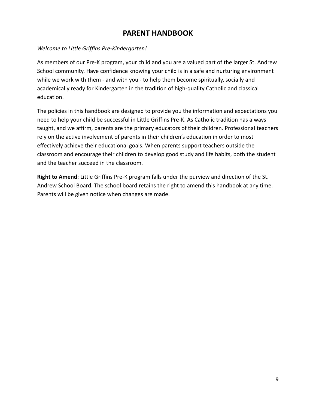## **PARENT HANDBOOK**

#### *Welcome to Little Griffins Pre-Kindergarten!*

As members of our Pre-K program, your child and you are a valued part of the larger St. Andrew School community. Have confidence knowing your child is in a safe and nurturing environment while we work with them - and with you - to help them become spiritually, socially and academically ready for Kindergarten in the tradition of high-quality Catholic and classical education.

The policies in this handbook are designed to provide you the information and expectations you need to help your child be successful in Little Griffins Pre-K. As Catholic tradition has always taught, and we affirm, parents are the primary educators of their children. Professional teachers rely on the active involvement of parents in their children's education in order to most effectively achieve their educational goals. When parents support teachers outside the classroom and encourage their children to develop good study and life habits, both the student and the teacher succeed in the classroom.

**Right to Amend**: Little Griffins Pre-K program falls under the purview and direction of the St. Andrew School Board. The school board retains the right to amend this handbook at any time. Parents will be given notice when changes are made.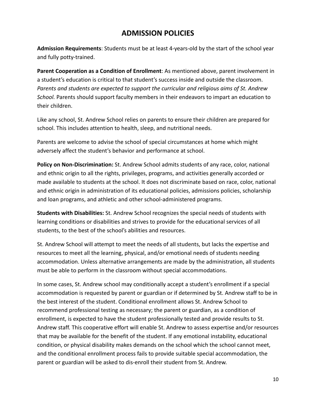## **ADMISSION POLICIES**

**Admission Requirements**: Students must be at least 4-years-old by the start of the school year and fully potty-trained.

**Parent Cooperation as a Condition of Enrollment**: As mentioned above, parent involvement in a student's education is critical to that student's success inside and outside the classroom. *Parents and students are expected to support the curricular and religious aims of St. Andrew School.* Parents should support faculty members in their endeavors to impart an education to their children.

Like any school, St. Andrew School relies on parents to ensure their children are prepared for school. This includes attention to health, sleep, and nutritional needs.

Parents are welcome to advise the school of special circumstances at home which might adversely affect the student's behavior and performance at school.

**Policy on Non-Discrimination:** St. Andrew School admits students of any race, color, national and ethnic origin to all the rights, privileges, programs, and activities generally accorded or made available to students at the school. It does not discriminate based on race, color, national and ethnic origin in administration of its educational policies, admissions policies, scholarship and loan programs, and athletic and other school-administered programs.

**Students with Disabilities:** St. Andrew School recognizes the special needs of students with learning conditions or disabilities and strives to provide for the educational services of all students, to the best of the school's abilities and resources.

St. Andrew School will attempt to meet the needs of all students, but lacks the expertise and resources to meet all the learning, physical, and/or emotional needs of students needing accommodation. Unless alternative arrangements are made by the administration, all students must be able to perform in the classroom without special accommodations.

In some cases, St. Andrew school may conditionally accept a student's enrollment if a special accommodation is requested by parent or guardian or if determined by St. Andrew staff to be in the best interest of the student. Conditional enrollment allows St. Andrew School to recommend professional testing as necessary; the parent or guardian, as a condition of enrollment, is expected to have the student professionally tested and provide results to St. Andrew staff. This cooperative effort will enable St. Andrew to assess expertise and/or resources that may be available for the benefit of the student. If any emotional instability, educational condition, or physical disability makes demands on the school which the school cannot meet, and the conditional enrollment process fails to provide suitable special accommodation, the parent or guardian will be asked to dis-enroll their student from St. Andrew.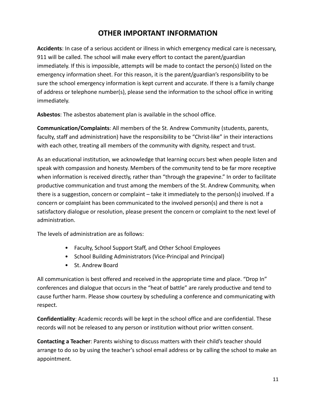# **OTHER IMPORTANT INFORMATION**

**Accidents**: In case of a serious accident or illness in which emergency medical care is necessary, 911 will be called. The school will make every effort to contact the parent/guardian immediately. If this is impossible, attempts will be made to contact the person(s) listed on the emergency information sheet. For this reason, it is the parent/guardian's responsibility to be sure the school emergency information is kept current and accurate. If there is a family change of address or telephone number(s), please send the information to the school office in writing immediately.

**Asbestos**: The asbestos abatement plan is available in the school office.

**Communication/Complaints**: All members of the St. Andrew Community (students, parents, faculty, staff and administration) have the responsibility to be "Christ-like" in their interactions with each other, treating all members of the community with dignity, respect and trust.

As an educational institution, we acknowledge that learning occurs best when people listen and speak with compassion and honesty. Members of the community tend to be far more receptive when information is received directly, rather than "through the grapevine." In order to facilitate productive communication and trust among the members of the St. Andrew Community, when there is a suggestion, concern or complaint – take it immediately to the person(s) involved. If a concern or complaint has been communicated to the involved person(s) and there is not a satisfactory dialogue or resolution, please present the concern or complaint to the next level of administration.

The levels of administration are as follows:

- Faculty, School Support Staff, and Other School Employees
- School Building Administrators (Vice-Principal and Principal)
- St. Andrew Board

All communication is best offered and received in the appropriate time and place. "Drop In" conferences and dialogue that occurs in the "heat of battle" are rarely productive and tend to cause further harm. Please show courtesy by scheduling a conference and communicating with respect.

**Confidentiality**: Academic records will be kept in the school office and are confidential. These records will not be released to any person or institution without prior written consent.

**Contacting a Teacher**: Parents wishing to discuss matters with their child's teacher should arrange to do so by using the teacher's school email address or by calling the school to make an appointment.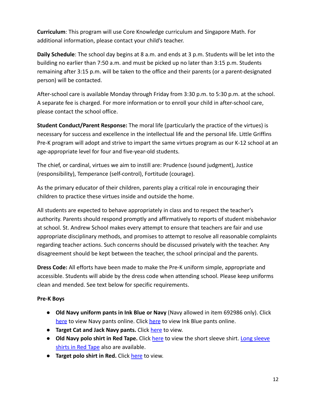**Curriculum**: This program will use Core Knowledge curriculum and Singapore Math. For additional information, please contact your child's teacher.

**Daily Schedule**: The school day begins at 8 a.m. and ends at 3 p.m. Students will be let into the building no earlier than 7:50 a.m. and must be picked up no later than 3:15 p.m. Students remaining after 3:15 p.m. will be taken to the office and their parents (or a parent-designated person) will be contacted.

After-school care is available Monday through Friday from 3:30 p.m. to 5:30 p.m. at the school. A separate fee is charged. For more information or to enroll your child in after-school care, please contact the school office.

**Student Conduct/Parent Response:** The moral life (particularly the practice of the virtues) is necessary for success and excellence in the intellectual life and the personal life. Little Griffins Pre-K program will adopt and strive to impart the same virtues program as our K-12 school at an age-appropriate level for four and five-year-old students.

The chief, or cardinal, virtues we aim to instill are: Prudence (sound judgment), Justice (responsibility), Temperance (self-control), Fortitude (courage).

As the primary educator of their children, parents play a critical role in encouraging their children to practice these virtues inside and outside the home.

All students are expected to behave appropriately in class and to respect the teacher's authority. Parents should respond promptly and affirmatively to reports of student misbehavior at school. St. Andrew School makes every attempt to ensure that teachers are fair and use appropriate disciplinary methods, and promises to attempt to resolve all reasonable complaints regarding teacher actions. Such concerns should be discussed privately with the teacher. Any disagreement should be kept between the teacher, the school principal and the parents.

**Dress Code:** All efforts have been made to make the Pre-K uniform simple, appropriate and accessible. Students will abide by the dress code when attending school. Please keep uniforms clean and mended. See text below for specific requirements.

#### **Pre-K Boys**

- **Old Navy uniform pants in Ink Blue or Navy** (Navy allowed in item 692986 only). Click [here](https://oldnavy.gap.com/browse/product.do?pid=284362002&pcid=999&vid=1&searchText=uniform+pants+boys#pdp-page-content) to view Navy pants online. Click here to view Ink Blue pants online.
- **Target Cat and Jack Navy pants.** Click [here](https://www.target.com/p/boys-flat-front-stretch-uniform-straight-fit-pants-cat-jack-navy/-/A-82808389?preselect=78763739#lnk=sametab) to view.
- **Old Navy polo shirt in Red Tape.** Click [here](https://oldnavy.gap.com/browse/product.do?pid=209313042&pcid=999&vid=1&searchText=uniform+polo+boys#pdp-page-content) to view the short sleeve shirt. [Long sleeve](https://oldnavy.gap.com/browse/product.do?pid=447305042&rrec=true&mlink=5050%2C12413545%2Conproduct1_rr_2&clink=12413545&vid=1#pdp-page-content) [shirts in Red Tape](https://oldnavy.gap.com/browse/product.do?pid=447305042&rrec=true&mlink=5050%2C12413545%2Conproduct1_rr_2&clink=12413545&vid=1#pdp-page-content) also are available.
- **Target polo shirt in Red.** Click [here](https://www.target.com/p/boys-short-sleeve-stretch-pique-uniform-polo-shirt-cat-jack-red/-/A-82790407?preselect=78855515#lnk=sametab) to view.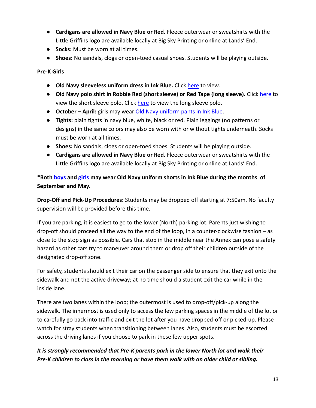- **Cardigans are allowed in Navy Blue or Red.** Fleece outerwear or sweatshirts with the Little Griffins logo are available locally at Big Sky Printing or online at Lands' End.
- **Socks:** Must be worn at all times.
- **● Shoes:** No sandals, clogs or open-toed casual shoes. Students will be playing outside.

**Pre-K Girls**

- **● Old Navy sleeveless uniform dress in Ink Blue.** Click [here](https://oldnavy.gap.com/browse/product.do?pid=691027002&pcid=999&vid=1&searchText=uniform+dress#pdp-page-content) to view.
- **● Old Navy polo shirt in Robbie Red (short sleeve) or Red Tape (long sleeve).** Click [here](https://oldnavy.gap.com/browse/product.do?pid=896761172&pcid=999&vid=1&&searchText=Uniform%20girls%20polo%20shirt#pdp-page-content) to view the short sleeve polo. Click [here](https://oldnavy.gap.com/browse/product.do?pid=581569072&rrec=true&mlink=5050%2C12413545%2Conproduct1_rr_2&clink=12413545&vid=1#pdp-page-content) to view the long sleeve polo.
- **● October April:** girls may wear [Old Navy uniform pants](https://oldnavy.gap.com/browse/product.do?pid=687672022&pcid=999&vid=1&searchText=uniform+pants+girls#pdp-page-content) in Ink Blue.
- **● Tights:** plain tights in navy blue, white, black or red. Plain leggings (no patterns or designs) in the same colors may also be worn with or without tights underneath. Socks must be worn at all times.
- **● Shoes:** No sandals, clogs or open-toed shoes. Students will be playing outside.
- **● Cardigans are allowed in Navy Blue or Red.** Fleece outerwear or sweatshirts with the Little Griffins logo are available locally at Big Sky Printing or online at Lands' End.

**\*Both [boys](https://oldnavy.gap.com/browse/product.do?pid=284360002&pcid=999&vid=1&searchText=uniform+shorts#pdp-page-content) and [girls](https://oldnavy.gap.com/browse/product.do?pid=578963012&pcid=999&vid=1&searchText=girls+uniform+shorts#pdp-page-content) may wear Old Navy uniform shorts in Ink Blue during the months of September and May.**

**Drop-Off and Pick-Up Procedures:** Students may be dropped off starting at 7:50am. No faculty supervision will be provided before this time.

If you are parking, it is easiest to go to the lower (North) parking lot. Parents just wishing to drop-off should proceed all the way to the end of the loop, in a counter-clockwise fashion – as close to the stop sign as possible. Cars that stop in the middle near the Annex can pose a safety hazard as other cars try to maneuver around them or drop off their children outside of the designated drop-off zone.

For safety, students should exit their car on the passenger side to ensure that they exit onto the sidewalk and not the active driveway; at no time should a student exit the car while in the inside lane.

There are two lanes within the loop; the outermost is used to drop-off/pick-up along the sidewalk. The innermost is used only to access the few parking spaces in the middle of the lot or to carefully go back into traffic and exit the lot after you have dropped-off or picked-up. Please watch for stray students when transitioning between lanes. Also, students must be escorted across the driving lanes if you choose to park in these few upper spots.

#### *It is strongly recommended that Pre-K parents park in the lower North lot and walk their Pre-K children to class in the morning or have them walk with an older child or sibling.*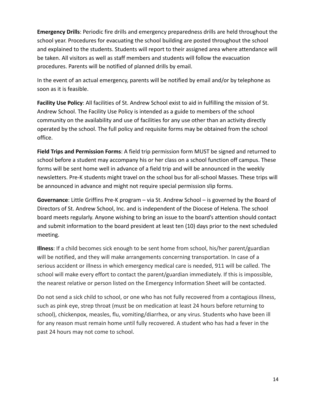**Emergency Drills**: Periodic fire drills and emergency preparedness drills are held throughout the school year. Procedures for evacuating the school building are posted throughout the school and explained to the students. Students will report to their assigned area where attendance will be taken. All visitors as well as staff members and students will follow the evacuation procedures. Parents will be notified of planned drills by email.

In the event of an actual emergency, parents will be notified by email and/or by telephone as soon as it is feasible.

**Facility Use Policy**: All facilities of St. Andrew School exist to aid in fulfilling the mission of St. Andrew School. The Facility Use Policy is intended as a guide to members of the school community on the availability and use of facilities for any use other than an activity directly operated by the school. The full policy and requisite forms may be obtained from the school office.

**Field Trips and Permission Forms**: A field trip permission form MUST be signed and returned to school before a student may accompany his or her class on a school function off campus. These forms will be sent home well in advance of a field trip and will be announced in the weekly newsletters. Pre-K students might travel on the school bus for all-school Masses. These trips will be announced in advance and might not require special permission slip forms.

**Governance**: Little Griffins Pre-K program – via St. Andrew School – is governed by the Board of Directors of St. Andrew School, Inc. and is independent of the Diocese of Helena. The school board meets regularly. Anyone wishing to bring an issue to the board's attention should contact and submit information to the board president at least ten (10) days prior to the next scheduled meeting.

**Illness**: If a child becomes sick enough to be sent home from school, his/her parent/guardian will be notified, and they will make arrangements concerning transportation. In case of a serious accident or illness in which emergency medical care is needed, 911 will be called. The school will make every effort to contact the parent/guardian immediately. If this is impossible, the nearest relative or person listed on the Emergency Information Sheet will be contacted.

Do not send a sick child to school, or one who has not fully recovered from a contagious illness, such as pink eye, strep throat (must be on medication at least 24 hours before returning to school), chickenpox, measles, flu, vomiting/diarrhea, or any virus. Students who have been ill for any reason must remain home until fully recovered. A student who has had a fever in the past 24 hours may not come to school.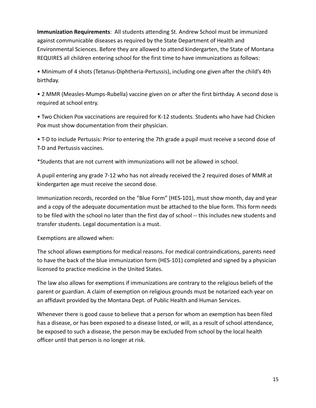**Immunization Requirements**: All students attending St. Andrew School must be immunized against communicable diseases as required by the State Department of Health and Environmental Sciences. Before they are allowed to attend kindergarten, the State of Montana REQUIRES all children entering school for the first time to have immunizations as follows:

• Minimum of 4 shots (Tetanus-Diphtheria-Pertussis), including one given after the child's 4th birthday.

• 2 MMR (Measles-Mumps-Rubella) vaccine given on or after the first birthday. A second dose is required at school entry.

• Two Chicken Pox vaccinations are required for K-12 students. Students who have had Chicken Pox must show documentation from their physician.

• T-D to include Pertussis: Prior to entering the 7th grade a pupil must receive a second dose of T-D and Pertussis vaccines.

\*Students that are not current with immunizations will not be allowed in school.

A pupil entering any grade 7-12 who has not already received the 2 required doses of MMR at kindergarten age must receive the second dose.

Immunization records, recorded on the "Blue Form" (HES-101), must show month, day and year and a copy of the adequate documentation must be attached to the blue form. This form needs to be filed with the school no later than the first day of school -- this includes new students and transfer students. Legal documentation is a must.

Exemptions are allowed when:

The school allows exemptions for medical reasons. For medical contraindications, parents need to have the back of the blue immunization form (HES-101) completed and signed by a physician licensed to practice medicine in the United States.

The law also allows for exemptions if immunizations are contrary to the religious beliefs of the parent or guardian. A claim of exemption on religious grounds must be notarized each year on an affidavit provided by the Montana Dept. of Public Health and Human Services.

Whenever there is good cause to believe that a person for whom an exemption has been filed has a disease, or has been exposed to a disease listed, or will, as a result of school attendance, be exposed to such a disease, the person may be excluded from school by the local health officer until that person is no longer at risk.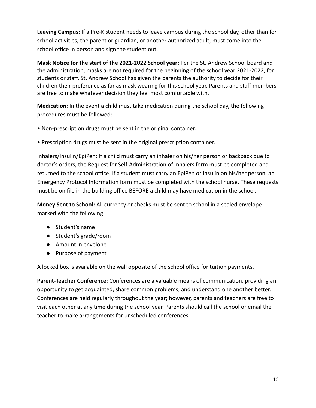**Leaving Campus**: If a Pre-K student needs to leave campus during the school day, other than for school activities, the parent or guardian, or another authorized adult, must come into the school office in person and sign the student out.

**Mask Notice for the start of the 2021-2022 School year:** Per the St. Andrew School board and the administration, masks are not required for the beginning of the school year 2021-2022, for students or staff. St. Andrew School has given the parents the authority to decide for their children their preference as far as mask wearing for this school year. Parents and staff members are free to make whatever decision they feel most comfortable with.

**Medication**: In the event a child must take medication during the school day, the following procedures must be followed:

- Non-prescription drugs must be sent in the original container.
- Prescription drugs must be sent in the original prescription container.

Inhalers/Insulin/EpiPen: If a child must carry an inhaler on his/her person or backpack due to doctor's orders, the Request for Self-Administration of Inhalers form must be completed and returned to the school office. If a student must carry an EpiPen or insulin on his/her person, an Emergency Protocol Information form must be completed with the school nurse. These requests must be on file in the building office BEFORE a child may have medication in the school.

**Money Sent to School:** All currency or checks must be sent to school in a sealed envelope marked with the following:

- Student's name
- Student's grade/room
- Amount in envelope
- Purpose of payment

A locked box is available on the wall opposite of the school office for tuition payments.

**Parent-Teacher Conference:** Conferences are a valuable means of communication, providing an opportunity to get acquainted, share common problems, and understand one another better. Conferences are held regularly throughout the year; however, parents and teachers are free to visit each other at any time during the school year. Parents should call the school or email the teacher to make arrangements for unscheduled conferences.